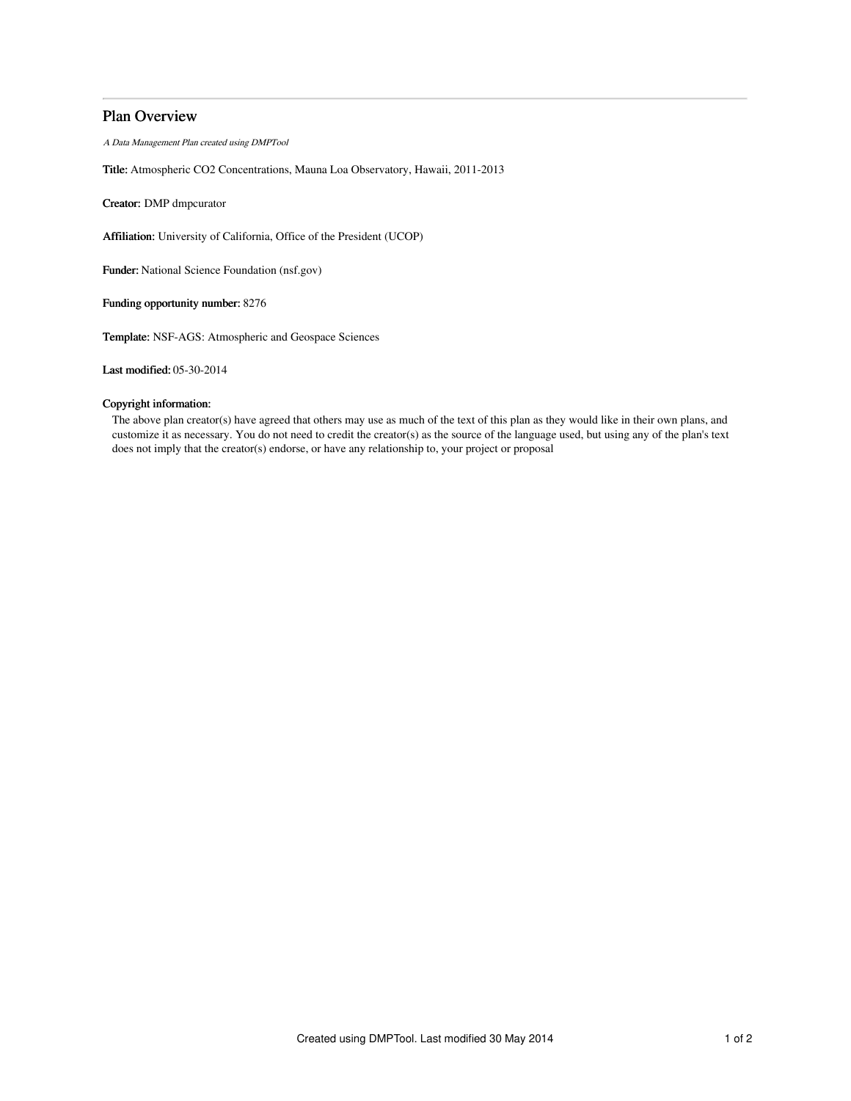# Plan Overview

A Data Management Plan created using DMPTool

Title: Atmospheric CO2 Concentrations, Mauna Loa Observatory, Hawaii, 2011-2013

Creator: DMP dmpcurator

Affiliation: University of California, Office of the President (UCOP)

Funder: National Science Foundation (nsf.gov)

Funding opportunity number: 8276

Template: NSF-AGS: Atmospheric and Geospace Sciences

Last modified: 05-30-2014

## Copyright information:

The above plan creator(s) have agreed that others may use as much of the text of this plan as they would like in their own plans, and customize it as necessary. You do not need to credit the creator(s) as the source of the language used, but using any of the plan's text does not imply that the creator(s) endorse, or have any relationship to, your project or proposal